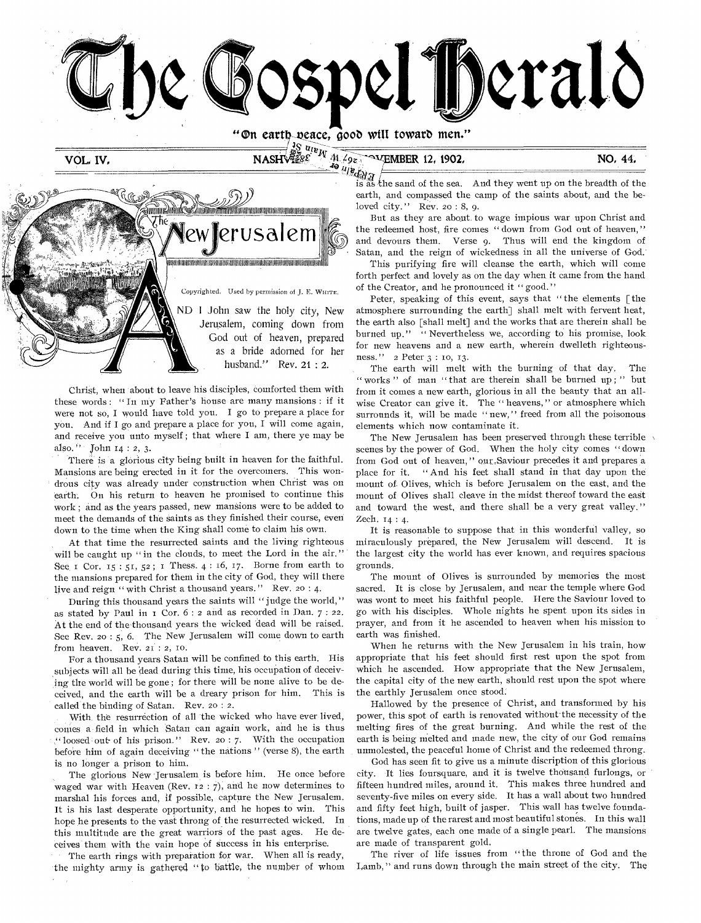

"On earth peace, good will toward men." zace, g<br><sup>uie</sup>n

VOL, IV, NASHV $\frac{2.5}{100}$  NASHV $\frac{2.5}{100}$  No, 44,



Christ, when about to leave his disciples, comforted them with these words : " In my Father's house are many mansions : if it were not so, I would have told you. I go to prepare a place for you. And if I go and prepare a place for you, I will come again, and receive you unto myself ; that where I am, there ye may be also." John 14 : 2, 3.

There is a glorious city being built in heaven for the faithful. Mansions are being erected in it for the overcomers. This wondrous city was already under construction when Christ was on earth. On his return to heaven he promised to continue this work ; and as the years passed, new mansions were to be added to meet the demands of the saints as they finished their course, even down to the time when the King shall come to claim his own.

At that time the resurrected saints and the living righteous will be caught up " in the clouds, to meet the Lord in the air." See, I Cor. 15: 51, 52; I Thess. 4: 16, 17. Borne from earth to the mansions prepared for them in the city of God, they will there live and reign " with Christ a thousand years." Rev. zo : 4.

During this thousand years the saints will "judge the world," as stated by Paul in  $I$  Cor.  $6: 2$  and as recorded in Dan.  $7: 22$ . At the end of the thousand years the wicked dead will be raised. See Rev. 20 : 5, 6. The New Jerusalem will come down to earth from heaven. Rev. 21 : 2, I0.

For a thousand years Satan will be confined to this earth. His subjects will all be dead during this time, his occupation of deceiving the world will be gone ; for there will be none alive to be deceived, and the earth will be a dreary prison for him. This is called the binding of Satan. Rev. zo : 2.

With the resurrection of all the wicked who have ever lived, comes a field in which Satan can again work, and he is thus ," loosed out of his prison. " Rev. 20 : 7. With the occupation before him of again deceiving " the nations " (verse 8), the earth is no longer a prison to him.

The glorious New 'Jerusalem is before him. He once before waged war with Heaven (Rev. 12 : 7), and he now determines to marshal his forces and, if possible, capture the New Jerusalem. It is his last desperate opportunity, and he hopes to win. This hope he presents to the vast throng of the resurrected wicked. In this multitude are the great warriors of the past ages. He deceives them with the vain hope of success in his enterprise.

The earth rings with preparation for war. When all is ready, the mighty army is gathered " to battle, the number of whom

is as the sand of the sea. And they went up on the breadth of the earth, and compassed the camp of the saints about, and the beloved city." Rev. 20: 8, 9.

But as they are about, to wage impious war upon Christ and the redeemed host, fire comes "down from God out of heaven," and devours them. Verse 9. Thus will end the kingdom of Satan, and the reign of wickedness in all the universe of God.

This purifying fire will cleanse the earth, which will come forth perfect and lovely as on the day when it came from the hand of the Creator, and he pronounced it " good."

Peter, speaking of this event, says that "the elements [the atmosphere surrounding the earth] shall melt with fervent heat, the earth also [shall melt] and the works that are therein shall be burned up." " Nevertheless we, according to his promise, look for new heavens and a new earth, wherein dwelleth righteousness." 2 Peter 3 : io, 13.

The earth will melt with the burning of that day. The " works" of man " that are therein shall be burned up;" but from it comes a new earth, glorious in all the beauty that an allwise Creator can give it. The " heavens, " or atmosphere which surrounds it, will be made "new," freed from all the poisonous elements which now contaminate it.

The New Jerusalem has been preserved through these terrible scenes by the power of God. When the holy city comes "down from God out of heaven," our Saviour precedes it and prepares a place for it. " And his feet shall stand in that day upon the mount of Olives, which is before Jerusalem on the east, and the mount of Olives shall cleave in the midst thereof toward the east and toward the west, and there shall be a very great valley." Zech. 14 : 4.

It is reasonable to suppose that in this wonderful valley, so miraculously prepared, the New Jerusalem will descend. It is the largest city the world has ever known, and requires spacious grounds.

The mount of Olives is surrounded by memories the most sacred. It is close by Jerusalem, and near the temple where God was wont to meet his faithful people. Here the Saviour loved to go with his disciples. Whole nights he spent upon its sides in prayer, and from it he ascended to heaven when his mission to earth was finished.

When he returns with the New Jerusalem in his train, how appropriate that his feet should first rest upon the spot from which he ascended. How appropriate that the New Jerusalem, the capital city of the new earth, should rest upon the spot where the earthly Jerusalem once stood.

Hallowed by the presence of Christ, and transformed by his power, this spot of earth is renovated without the necessity of the melting fires of the great burning. And while the rest of the earth is being melted and made new, the city of our God remains unmolested, the peaceful home of Christ and the redeemed throng.

God has seen fit to give us a minute discription of this glorious city. It lies foursquare, and it is twelve thousand furlongs, or fifteen hundred miles, around it. This makes three hundred and seventy-five miles on every side. It has a wall about two hundred and fifty feet high, built of jasper. This wall has twelve foundations, made up of the rarest and most beautiful stones. In this wall are twelve gates, each one made of a single pearl. The mansions are made of transparent gold.

The river of life issues from "the throne of God and the Lamb," and runs down through the main street of the city. The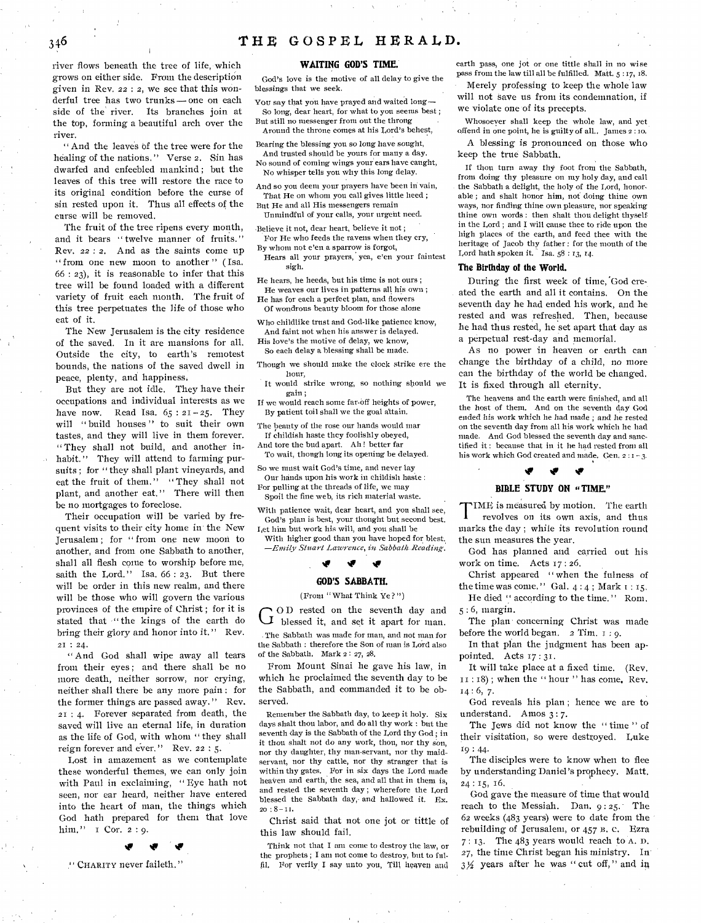river flows beneath the tree of life, which grows on either side. From the description given in Rev. 22 : 2, *We see* that this wonderful tree has two trunks — one on each side of the river. Its branches join at the top, forming a beautiful arch over the river.

" And the leaves of the tree were for the healing of the nations." Verse 2. Sin has dwarfed and enfeebled mankind ; but the leaves of this tree will restore the race to its original condition before the curse of sin rested upon it. Thus all effects of the curse will be removed.

The fruit of the tree ripens every month, and it bears " twelve manner of fruits." Rev. *22 : 2.* And as the saints come up " from one new moon to another" (Isa. 66 : 23), it is reasonable to infer that this tree will be found loaded with a different variety of fruit each month. The fruit of this tree perpetuates the life of those who eat of it.

The New Jerusalem is the city residence of the saved. In it are mansions for all. Outside the city, to earth's remotest bounds, the nations of the saved dwell in peace, plenty, and happiness.

But they are not idle. They have their occupations and individual interests as we have now. Read Isa.  $65 : 21 - 25$ . They will "build houses" to suit their own tastes, and they will live in them forever. " They shall not build, and another inhabit." They will attend to farming pursuits ; for "they shall plant vineyards, and eat the fruit of them." "They shall not plant, and another eat." There will then be no mortgages to foreclose.

Their occupation will be varied by frequent visits to their city home in the New Jerusalem ; for " from one new moon to another, and from one Sabbath to another, shall all flesh come to worship before me, saith the Lord." Isa. 66: 23. But there will be order in this new realm, and there will be those who will govern the various provinces of the empire of Christ ; for it is stated that "the kings of the earth do bring their glory and honor into it." Rev. 21 : 24.

" And God shall wipe away all tears from their eyes; and there shall be no more death, neither sorrow, nor crying, neither shall there be any more pain : for the former things are passed away." Rev. 21 : 4. Forever separated from death, the saved will live an eternal life, in duration as the life of God, with whom " they shall reign forever and ever." Rev. 22:5.

Lost in amazement as we contemplate these wonderful themes, we can only join with Paul in exclaiming, " Eye hath not *seen,* nor ear heard, neither have entered into the heart of man, the things which God hath prepared for them that love him." 1 Cor. 2:9.

 $\mathbf{r}$ 

" CHARITY never faileth."

#### **WAITING GOD'S TIME.**

God's love is the motive of all delay to give the *blessings* that we seek.

- You say that you have prayed and waited long— So long, dear heart, for what to you seems best ; But still no messenger from out the throng
- Around the throne comes at his Lord's behest,
- Bearing the blessing you so long have sought, And trusted should be yours for many a day. No sound of coming wings your ears have caught,
- No whisper tells you why this long delay.
- And so you deem your prayers have been in vain, That He on whom you call gives little heed ; But He and all His messengers remain
- Unmindful of your calls, your urgent need. Believe it not, dear heart, believe it not ;
- For He who feeds the ravens when they cry, By whom not e'en a sparrow is forgot,
- Hears all your prayers, yea, e'en your faintest sigh.
- He hears, he heeds, but his time is not ours ; He weaves our lives in patterns all his own ;
- He has for each a perfect plan, and flowers Of wondrous beauty bloom for those alone
- Who childlike trust and God-like patience know,
- And faint not when his answer is delayed.
- His love's the motive of delay, we know, So each delay a blessing shall be made.
- 
- Though we should make the clock strike ere the hour,
- It would strike wrong, so nothing should we gain ;
- If we would reach sonic far-Off heights of power, By patient toil shall we the goal attain.
- The beauty of the rose our hands would mar If childish haste they foolishly obeyed,
- And tore the bud apart. Ah ! better far To wait, though long its opening be delayed.
- So we must wait God's time, and never lay Our hands upon his work in childish haste :
- For pulling at the threads of life, we may Spoil the fine web, its rich material waste.
- With patience wait, dear heart, and you shall see, God's plan is best, your thought but second best.
- Let him but work his will, and you shall be With higher good than you have hoped for blest.
	- *—Emily Stuart Lawrence, in Sabballi \_Reading.*

# **NV If**

#### **GOD'S SABBATH.**

(From " What Think Ye? ")

G OD rested on the seventh day and<br>G blessed it, and set it apart for man. O D rested on the seventh day and The Sabbath was made for man, and not man for the Sabbath : therefore the Son of man is Lord also of the Sabbath. Mark 2 : 27, 28.

From Mount Sinai he gave his law, in which he proclaimed the seventh day to be the Sabbath, and commanded it to be observed.

Remember the Sabbath day, to keep it holy. Six days shalt thou labor, and do all thy work : but the seventh day is the Sabbath of the Lord thy God ; in it thou shalt not do any work, thou, nor thy son, nor thy daughter, thy man-servant, nor thy maidservant, nor thy cattle, nor thy stranger that is within thy gates. For in six days the Lord made heaven and earth, the sea, and all that in them is, and rested the seventh day; wherefore the Lord blessed the Sabbath day, and hallowed it.  $Ex$ .  $20 : 8 - 11.$ 

Christ said that not one jot or tittle of this law should fail.

Think not that I am come to destroy the law, or the prophets ; I am not come to destroy, but to fulfil. For verily I say unto you, Till heaven and earth pass, one jot or one tittle shall in no wise pass from the law till all be fulfilled. Matt. 5 : 17, 18.

Merely professing to keep the whole law will not save us from its condemnation, if we violate one of its precepts.

Whosoeyer shall keep the whole law, and yet offend in one point, he is guilty of all.. James 2 : 10.

A blessing is pronounced on those who keep the true Sabbath.

If thou turn away thy foot from the Sabbath, from doing thy pleasure on my holy day, and call the Sabbath a delight, the holy of the Lord, honorable ; and shalt honor him, not doing thine own ways, nor finding thine own pleasure, nor speaking thine own words : then shalt thou delight thyself in the Lord ; and I will cause thee to ride upon the high places of the earth, and feed thee with the heritage of Jacob thy father : for the mouth of the Lord bath spoken it. *Isa. 58 :* 13, 14.

#### **The Birthday of the World.**

During the first week of time, 'God created the earth and all it contains. On the seventh day he had ended his work, and he rested and was refreshed. Then, because he had thus rested, he set apart that day as a perpetual rest-day and memorial.

As no power in heaven or earth can *change* the birthday of a child, no more can the birthday of the world be changed. It is fixed through all eternity.

The heavens and the earth were finished, and all the host of them. And on the seventh day God ended his work which he had made ; and he rested on the seventh day from all his work which he had made. And God blessed the seventh day and sanctified it : because that in it he had rested from all his work which God created and made. Gen. 2 : I - *3.* 

#### **BIBLE STUDY ON "TIME."**

TIME is measured by motion. The earth<br>revolves on its own axis, and thus revolves on its own axis, and thus marks the day ; while its revolution round the sun measures the year.

God has planned and carried out his work on time. Acts 17 : 26.

Christ appeared " when the fulness of the time was come." Gal.  $4:4$ ; Mark  $1:15$ ,

He died " according to the time. " Rom. 5 : 6, margin.

The plan concerning Christ was made before the world began. *2* Tim. i : 9.

In that plan the judgment has been appointed. Acts 17 : 31.

It will take place at a fixed time. (Rev. 11 : 18) ; when the " hour " has come, Rev.  $14:6, 7.$ 

God reveals his plan ; hence we are to understand. Amos 3:7.

The Jews did not know the " time " of their visitation, so were destroyed. Luke 19 : 44.

The disciples were to know when to flee by understanding Daniel's prophecy. Matt. 24 : 15, 16.

God gave the measure of time that would reach to the Messiah. Dan. 9: 25. The 62 weeks (483 years) were to date from the rebuilding of Jerusalem, or 457 B. C. Ezra 7 : 13. The 483 years would reach to A. D. *27,* the time Christ began his ministry. In  $3\frac{1}{2}$  years after he was " cut off," and in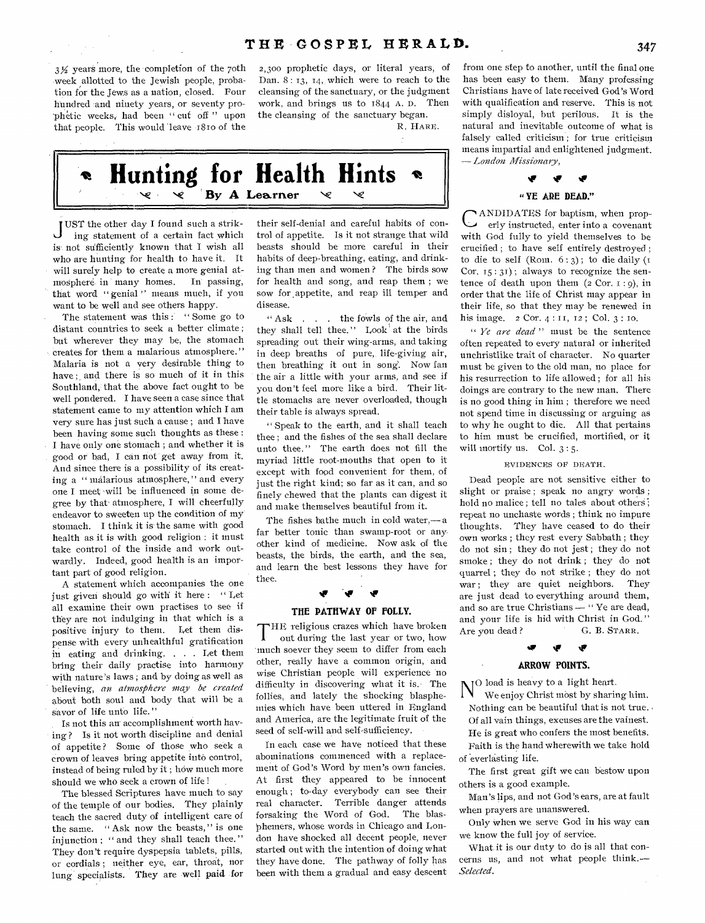$3\frac{1}{2}$  years more, the completion of the 70th week allotted to the Jewish people, probation for the Jews as a nation, closed. Four hundred and ninety years, or seventy prophetic weeks, had been "cut off " upon that people. This would leave 1810 of the

2,300 prophetic days, or literal years, of Dan.  $8:13, 14$ , which were to reach to the cleansing of the sanctuary, or the judgment work, and brings us to 1844 A. D. Then the cleansing of the sanctuary began.

R. HARE.

# **Hunting for Health Hints**   $\psi \rightarrow \psi$  By A Learner

UST the other day I found such a striking statement of a certain fact which is not sufficiently known that I wish all who are hunting for health to have it. It will surely help to create a more genial atmosphere in many homes. In passing, that word "genial" means much, if you want to be well and see others happy.

The statement was this : "Some go to distant countries to seek a better climate ; but wherever they may be, the stomach creates for them a malarious atmosphere." Malaria is not a very desirable thing to have;, and there is so much of it in this Southland, that the above fact ought to be well pondered. I have seen a case since that statement came to my attention which I am very sure has just such a cause ; and I have been having some such thoughts as these : I have only one stomach ; and whether it is good or bad, I can not get away from it. And since there is a possibility of its creating a " malarious atmosphere," and every one I meet will be influenced in some degree by that atmosphere, I will cheerfully endeavor to sweeten up the condition of my stomach. I think it is the same with good health as it is with good religion : it must take control of the inside and work outwardly. Indeed, good health is an important part of good religion.

A statement which accompanies the one just given should go with it here : "Let all examine their own practises to see if they are not indulging in that which is a positive injury to them. Let them dispense with every unhealthful gratification in eating and drinking. . . Let them bring their daily practise into harmony with nature's laws ; and by doing as well as believing, *an atmosphere may be created*  about both soul and body that will be a savor of life unto life. "

Is not this an accomplishment worth having ? Is it not worth discipline and denial of appetite? Some of those who seek a crown of leaves bring appetite into control, instead of being ruled by it; how much more should we who seek a crown of life !

The blessed Scriptures have much to say of the temple of our bodies. They plainly teach the sacred duty of intelligent care of the same. " Ask now the beasts," is one injunction; " and they shall teach thee." They don't require dyspepsia tablets, pills, or cordials; neither eye, ear, throat, nor lung specialists. They are well paid for

their self-denial and careful habits of control of appetite. Is it not strange that wild beasts should be more careful in their habits of deep-breathing, eating, and drinking than men and women ? The birds sow for health and song, and reap them ; we sow for appetite, and reap ill temper and disease.

" Ask . . . the fowls of the air, and they shall tell thee." Look at the birds spreading out their wing-arms, and taking in deep breaths of pure, life-giving air, then breathing it out in song. Now fan the air a little with your arms, and see if you don't feel more like a bird. Their little stomachs are never overloaded, though their table is always spread.

" Speak to the earth, and it shall teach thee ; and the fishes of the sea shall declare unto thee. " The earth does not fill the myriad little root-mouths that open to it except with food convenient for them, of just the right kind; so far as it can, and so finely chewed that the plants can digest it and make themselves beautiful from it.

The fishes bathe much in cold water,— a far better tonic than swamp-root or any other kind of medicine. Now ask of the beasts, the birds, the earth, and the sea, and learn the best lessons they have for thee.

#### Ŵ

# **THE PATHWAY OF FOLLY.**

THE religious crazes which have broken<br>out during the last year or two, how out during the last year or two, how much soever they seem to differ from each other, really have a common origin, and wise Christian people will experience no difficulty in discovering what it is. The follies, and lately the shocking blasphemies which have been uttered in England and America, are the legitimate fruit of the seed of self-will and self-sufficiency.

In each case we have noticed that these abominations commenced with a replacement of God's Word by men's own fancies. At first they appeared to be innocent enough ; to-day everybody can see their real character. Terrible danger attends forsaking the Word of God. The blasphemers, whose words in Chicago and London have shocked all decent people, never started out with the intention of doing what they have done. The pathway of folly has been with them a gradual and easy descent

from one step to another, until the final one has been easy to them. Many professing Christians have of late received God's Word with qualification and reserve. This is not simply disloyal, but perilous. It is the natural and inevitable outcome of what is falsely called criticism; for true criticism means impartial and enlightened judgment. *— London Missionary,* 

# **\*Iv tr**

#### **" YE ARE DEAD."**

 $\cup$ ANDIDATES for baptism, when properly instructed, enter into a covenant with God fully to yield themselves to be crucified ; to have self entirely destroyed ; to die to self (Rom.  $6:3$ ); to die daily (r Cor. 15:31); always to recognize the sentence of death upon them  $(2 Cor. 1:9)$ , in order that the life of Christ may appear in their life, so that they may be renewed in his image. *2* Cor. 4: II, 12; Col. 3: 10.

" *Ye are dead*" must be the sentence often repeated to every natural or inherited unchristlike trait of character. No quarter must be given to the old man, no place for his resurrection to life allowed ; for all his doings are contrary to the new man. There is no good thing in him ; therefore we need not spend time in discussing or arguing as to why he ought to die. All that pertains to him must be crucified, mortified, or it will mortify us. Col. 3 : 5.

#### EVIDENCES OE DEATH.

Dead people are not sensitive either to slight or praise ; speak no angry words ; hold no malice; tell no tales about others; repeat no unchaste words ; think no impure thoughts. They have ceased to do their own works ; they rest every Sabbath ; they do not sin ; they do not jest ; they do not smoke ; they do not drink ; they do not quarrel ; they do not strike ; they do not war; they are quiet neighbors. They are just dead to everything around them, and so are true Christians — " Ye are dead, and your life is hid with Christ in God." Are you dead? G. B. STARR.

# **tr**

#### **ARROW POINTS.**

 $\mathrm{N}^\mathrm{O}$  load is heavy to a light heart.<br>We enjoy Christ most by sharin We enjoy Christ most by sharing him. Nothing can be beautiful that is not true, Of all vain things, excuses are the vainest. He is great who confers the most benefits. Faith is the hand wherewith we take hold of everlasting life.

The first great gift we can bestow upon others is a good example.

Man's lips, and not God's ears, are at fault when prayers are unanswered.

Only when we serve God in his way can we know the full joy of service.

What it is our duty to do is all that concerns us, and not what people think.— *Selected.*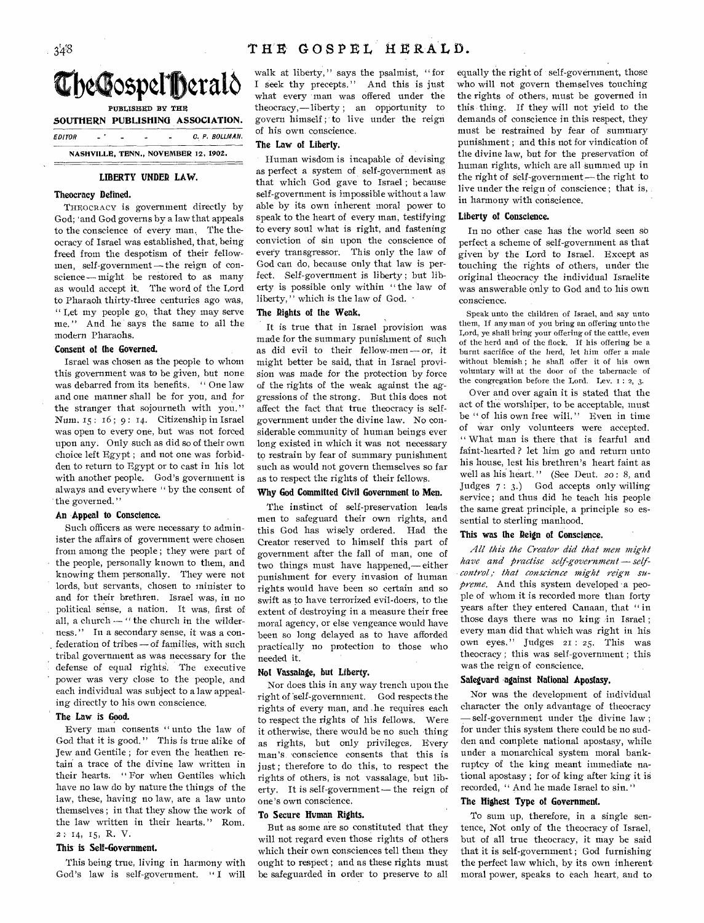

**SOUTHERN PUBLISHING ASSOCIATION.**   $EDITOR$   $C. P. BOLLMAN$ . NASHVILLE, **TENN.,** NOVEMBER 12, 1902.

# **LIBERTY UNDER LAW.**

### Theocracy Defined.

THEOCRACY is government directly by God; 'and God governs by a law that appeals to the conscience of every man. The theocracy of Israel was established, that, being freed from the despotism of their fellowmen, self-government - the reign of conscience — might be restored to as many as would accept it. The word of the Lord to Pharaoh thirty-three centuries ago was, " Let my people go, that they may serve me." And he says the same to all the modern Pharaohs.

#### Consent of the Governed.

Israel was chosen as the people to whom this government was to be given, but none was debarred from its benefits. " One law and one manner shall be for you, and for the stranger that sojourneth with you." Num. 15: 16; 9: 14. Citizenship in Israel was open to every one, but was not forced upon any. Only such as did so of their own choice left Egypt ; and not one was forbidden to return to Egypt or to cast in his lot with another people. God's government is always and everywhere " by the consent of the governed."

# **An Appeal to Conscience.**

Such officers as were necessary to administer the affairs of government were chosen from among the people ; they were part of the people, personally known to them, and knowing them personally. They were not lords, but servants, chosen to minister to and for their brethren. Israel was, in no political sense, a nation. It was, first of all, a church  $-$  " the church in the wilderness." In a secondary sense, it was a con  $f$ ederation of tribes  $-$  of families, with such tribal government as was necessary for the defense of equal rights. The executive power was very close to the people, and each individual was subject to a law appealing directly to his own conscience.

#### *The* **Law is Good.**

Every man consents " unto the law of God that it is good. " This is true alike of Jew and Gentile ; for even the heathen retain a trace of the divine law written in their hearts. " For when Gentiles which have no law do by nature the things of the law, these, having no law, are a law unto themselves ; in that they show the work of the law written in their hearts. " Rom. 2: 14, 15, R. V.

#### **This-is Self-Government.**

This being true, living in harmony with God's law is self-government. " I will

walk at liberty," says the psalmist, "for I seek thy precepts." And this is just what every man was offered under the theocracy,—liberty ; an opportunity to govern himself ; to live under the reign of his own conscience.

#### The Law of Liberty.

Human wisdom is incapable of devising as perfect a system of self-government as that which God gave to Israel ; because self-government is impossible without a law able by its own inherent moral power to speak to the heart of every man, testifying to every soul what is right, and fastening conviction of sin upon the conscience of every transgressor. This only the law of God can do, because only that law is perfect. Self-government is liberty ; but liberty is possible only within " the law of liberty," which is the law of God. .

# The Rights of the Weak.

It is true that in Israel provision was made for the summary punishment of such as did evil to their fellow-men--- or, it might better be said, that in Israel provision was made for the protection by force of the rights of the weak against the aggressions of the strong. But this does not affect the fact that true theocracy is selfgovernment under the divine law. No considerable community of human beings ever long existed in which it was not necessary to restrain by fear of summary punishment such as would not govern themselves so far as to respect the rights of their fellows.

#### **Why God Committed Civil Government to Men.**

The instinct of self-preservation leads men to safeguard their own rights, and this God has wisely ordered. Had the Creator reserved to himself this part of government after the fall of man, one of two things must have happened,— either punishment for every invasion of human rights would have been so certain and so swift as to have terrorized evil-doers, to the extent of destroying in a measure their free moral agency, or else vengeance would have been so long delayed as to have afforded practically no protection to those who needed it.

#### **Not Vassalage, but Liberty.**

Nor does this in any way trench upon the right of 'self-government. God respects the rights of every man, and he requires each to respect the rights of his fellows. Were it otherwise, there would be no such thing as rights, but only privileges. Every man's conscience consents that this is just ; therefore to do this, to respect the rights of others, is not vassalage, but liberty. It is self-government - the reign of one's own conscience.

#### To Secure Human Rights.

But as some are so constituted that they will not regard even those rights of others which their own consciences tell them they ought to respect ; and as these rights must be safeguarded in order to preserve to all

equally the right of self-government, those who will not govern themselves touching the rights of others, must be governed in this thing. If they will not yield to the demands of conscience in this respect, they must be restrained by fear of summary punishment ; and this not for vindication of the divine law, but for the preservation of human rights, which are all summed up in the right of self-government — the right to live under the reign of conscience ; that is, in harmony with conscience.

#### Liberty of Conscience.

In no other case has the world seen so perfect a scheme of self-government as that given by the Lord to Israel. Except as touching the rights of others, under the original theocracy the individual Israelite was answerable only to God and to his own conscience.

Speak unto the children of Israel, and say unto them, If any man of you bring an offering unto the Lord, ye shall bring your offering of the cattle, even of the herd and of the flock. If his offering be a burnt sacrifice of the herd, let him offer a male without blemish ; he shall offer it of his own voluntary will at the door of the tabernacle of the congregation before the Lord. Lev. I : 2, 3.

Over and over again it is stated that the act of the worshiper, to be acceptable, must be " of his own free will." Even in time of war only volunteers were accepted. " What man is there that is fearful and faint-hearted ? let him go and return unto his house, lest his brethren's heart faint as well as his heart." (See Deut. 20: 8, and Judges 7 : 3.) God accepts only willing service ; and thus did he teach his people the same great principle, a principle so essential to sterling manhood.

#### This was the Reign of Conscience.

*All this the Creator did that men might have and practise self-government — selfcontrol ,• that conscience might reign supreme.* And this system developed 'a people of whom it is recorded more than forty years after they entered Canaan, that " in those days there was no king in Israel ; every man did that which was right in his own eyes," Judges 21 : 25. This was theocracy ; this was self-government ; this was the reign of conscience.

#### **Safeguard -against National Apostasy.**

Nor was the development of individual character the only advantage of theocracy —self-government under the divine law ; for under this system there could be no sudden and complete national apostasy, while under a monarchical system moral bankruptcy of the king meant immediate national apostasy ; for of king after king it is recorded, " And he made Israel to sin."

#### **The Highest Type of Government.**

To sum up, therefore, in a single sentence, Not only of the theocracy of Israel, but of all true theocracy, it may be said that it is self-government ; God furnishing the perfect law which, by its own inherent moral power, speaks to each heart, and to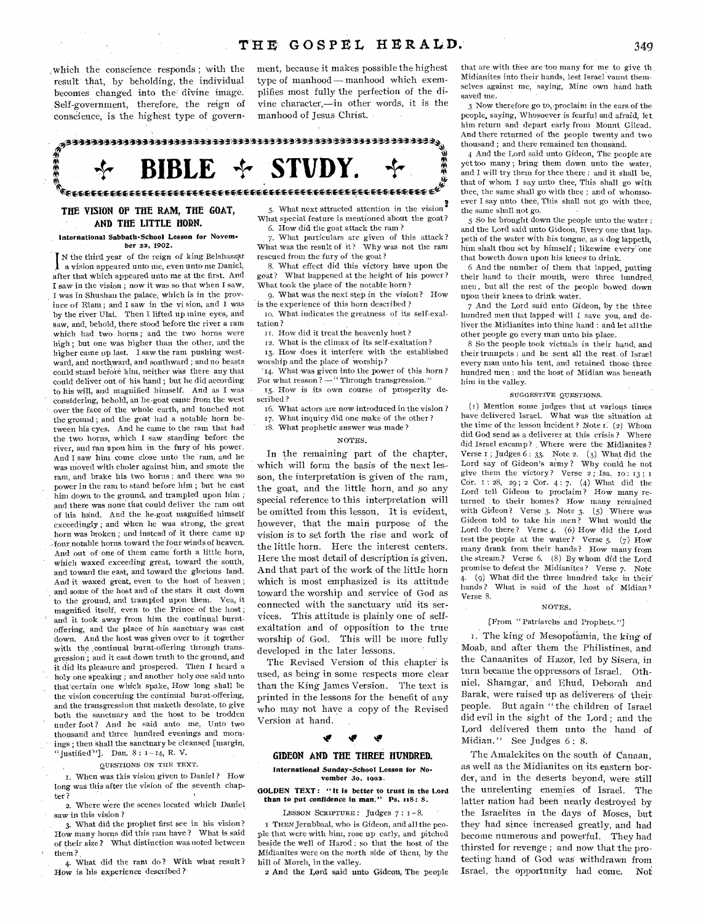which the conscience responds ; With the result that, by beholding, the individual becomes changed into the' divine image. Self-government, therefore, the reign of conscience, is the highest type of government, because it makes possible the highest type of manhood - manhood which exemplifies most fully the perfection of the divine character,-in other words, it is the manhood of Jesus Christ.



# **THE VISION OF THE RAM, THE GOAT, AND THE LITTLE HORN.**

#### International Sabbath-School Lesson for Novena. ber 22, 1902.

I a vision appeared unto me, even unto me Daniel,<br>after that which appeared unto me at the first. And N the third year of the reign of king Belshazzar a vision appeared unto me, even unto me Daniel, I saw in the vision ; now it was so that when I saw, I was in Shushan the palace, which is in the province of Elam ; and I saw in the vision, and I was by the river Ulai. Then I lifted up mine eyes, and saw, and, behold, there stood before the river a ram which had two horns ; and the two horns were high ; but one was higher than the other, and the higher came up last. I saw the ram pushing westward, and northward, and southward ; and no beasts could stand before him, neither was there any that could deliver out of his hand ; but he did according to his will, and magnified himself. And as 'I was considering, behold, an lie-goat came from the west over the face of the whole earth, and touched not the ground; and the goat had a notable horn between his eyes. And he came to the ram that had the two horns, which I saw standing before the river, and ran upon him in the fury of his power. And I saw him come close unto the 'ram, and he was moved with choler against him, and smote the ram, and brake his two horns ; and there was no power in the ram to stand before him ; but lie cast him down to the ground, and trampled upon him ; and there was none that could deliver the ram out of his hand. And the he-goat magnified himself exceedingly; and when he was strong, the great horn was broken ; and instead of it there came up four,notable horns toward the four winds of heaven. And out of one of them came forth a little horn, which waxed exceeding great, toward the south, and toward the east, and toward the glorious land. And it waxed great, even to the host of heaven ; and sonic of the host and of the stars it cast down to the ground, and trampled upon them. Yea, it magnified itself, even to the Prince of the host ; and it took away from him the continual burntoffering, and the place of his sanctuary was cast down. And the host was given over to it together with the ,continual burnt-offering through transgression ; and it cast down truth to the ground, and it did its pleasure and prospered. Then I heard a holy one speaking ; and another holy one said unto that'certain one which spake, How long shall be the vision concerning the continual burnt-offering, and the transgression that maketh desolate, to give both, the sanctuary and the host to be trodden under foot? And he said unto me, Unto two thousand and three hundred evenings and mornings ; then Shall the sanctuary be cleansed [margin, "justified"]. Dan.  $8:1-14$ , R. V.

QUESTIONS ON THE TEXT.

1. When was this vision given to Daniel ? How long was this after the vision of the seventh chapter?

2. Where were the scenes located which Daniel saw in this vision ?

3. What did the prophet first see in his vision? How many horns did this ram have? What is said of their size? What distinction was, noted between them?

4. What did the rani do? With what result? How is his experience described?

5. What next attracted attention in the vision 3 What special feature is mentioned about the goat? 6. How did the goat attack the ram?

7. What particulars are given of this attack? What was the result of it? Why was not the ram rescued from the fury of the goat?

8. What effect did this victory have upon the goat? What happened at the height of his power? What took the place of the notable horn?

9. What was the next step in the vision? How is the experience of this horn described ?

to. What indicates the greatness of its self-exaltation ?

1. How did it treat the heavenly host ?

12. What is the climax of its self-exaltation?

13. How does it interfere with the established worship and the place of worship?

'14. What was given into the power of this horn ? For what reason ?  $-$  " Through transgression."

15. How is its own course of prosperity described ?

i6. What actors are now introduced in the vision ?

17. What inquiry did one make of the other ?

IS. What prophetic answer was made ?

#### NOTES.

In the remaining part of the chapter, which will form the basis of the next lesson, the interpretation is given of the ram, the goat, and the little horn, and so any special reference to this interpretation will be omitted from this lesson. It is evident, however, that the main purpose of the vision is to set forth the rise and work of the little horn. Here the interest centers. Here the most detail of description is given. And that part of the work of the little horn which is most emphasized is its attitude toward the worship and service of God as connected with the sanctuary arid its services. This attitude is plainly one of selfexaltation and of opposition to the true worship of God. This will be more fully developed in the later lessons.

The Revised Version of this chapter is used, as being in some respects more clear than the King James Version. The text is printed in the lessons for the benefit of any who may not have a copy of the Revised Version at hand.

# if 47

#### **GIDEON AND THE THREE HUNDRED.**

#### International Sunday-School Lesson for November 30, 1902.

GOLDEN TEXT : "It is better to trust in the Lord than to put confidence in man." Ps.  $118: 8$ .

LESSON SCRIPTURE: Judges 7: 1-8.

I THEN Jerubbaal, who is Gideon, and all the people that were with him, rose up early, and pitched beside the well of Harod : so that the host of the Midianites were on the north side of them, by the hill of Moreh, in the valley.

2 And the Lord said unto Gideon, The people

that are with thee are 'too many for me to give th Midianites into their hands, lest Israel vaunt themselves against me, saying, Mine own hand hath saved me.

3 Now therefore go to, 'proclaim in the ears of the people, saying, Whosoever is fearful and afraid, let, him return and depart early from Mount Gilead. And there returned of the people twenty and two thousand ; and there remained ten thousand.

4 And the Lord said unto Gideon, The people are yet too many ; bring them down unto the water, and I will try them for thee there : and it shall be, that of whom I say unto thee, This shall, go with thee, the same shall go with thee ; and of whomsoever I say unto thee, This shall not go with thee, the same shall not go.

, So he brought down the people unto the water : and the Lord said unto Gideon, Every one that lappeth of the water with his tongue, as a dog lappeth, him shalt thou set by himself ; likewise every' 'one that boweth down upon his knees' to drink.

6 And the number of them, that lapped, putting their hand to their mouth, were three hundred, men, but all the rest of the people bowed down upon their knees to drink water.

7 And the Lord said unto Gideon, 'by the three hundred men that lapped will I save you, and deliver the Midianites into thine hand : and let all the other people go every man unto his place.

8 So the people took victuals in their hand, and their trumpets ; and he sent all the rest of Israel every man unto his tent, and retained those three hundred men : and the host of Midian was beneath him in the valley.

#### SUGGESTIVE QUESTIONS.

(1) Mention some judges that at various times have delivered Israel. What was the situation at the time of the lesson incident? Note 1. (2) Whom did God send as a deliverer at this crisis ? Where did Israel encamp? . Where were the Midianites? Verse I ; Judges 6 : 33. Note 2. (3) What did the Lord say of Gideon's army ? Why could he not give them the victory? Verse 2; Isa, 10: 13; 1 Cor.  $1 : 28, 29$ ; 2 Cor. 4: 7. (4) What did the Lord tell Gideon to proclaim? How many returned to their homes? How many remained with Gideon? Verse 3. Note 3. (5) Where was Gideon told to take his men? What would the Lord do there? Verse 4. (6) How did the Lord test the people at the water? Verse  $5. (7)$  How many drank from their hands? How many from the stream? Verse 6. (8) By whom did the Lord promise to defeat the Midianites ? Verse 7. Note 4. (9) What did the three hundred take in their hands? What is said of the host of Midian ? Verse 8.

#### NOTES.

#### [From "Patriarchs and Prophets."]

1. The king of Mesopotamia, the king of Moab, and after them the Philistines, and the Canaanites of Razor, led by Sisera, in turn became the oppressors of Israel. Othniel, Shamgar, and Ehud, Deborah and Barak, were raised up as deliverers'of their people. But again " the children of Israel did evil in the sight of the Lord ; and the Lord delivered them unto the hand of Midian." See Judges 6: 8.

The Amalekites on the south of Canaan, as well as the Midianites on its eastern border, and in the deserts beyond, were still the unrelenting enemies of Israel. The latter nation had been nearly destroyed by the Israelites in the days of Moses, but they had since 'increased greatly, and had become numerous and powerful. They had thirsted for revenge; and now that the protecting hand of God was withdrawn from Israel, the opportunity had come. Not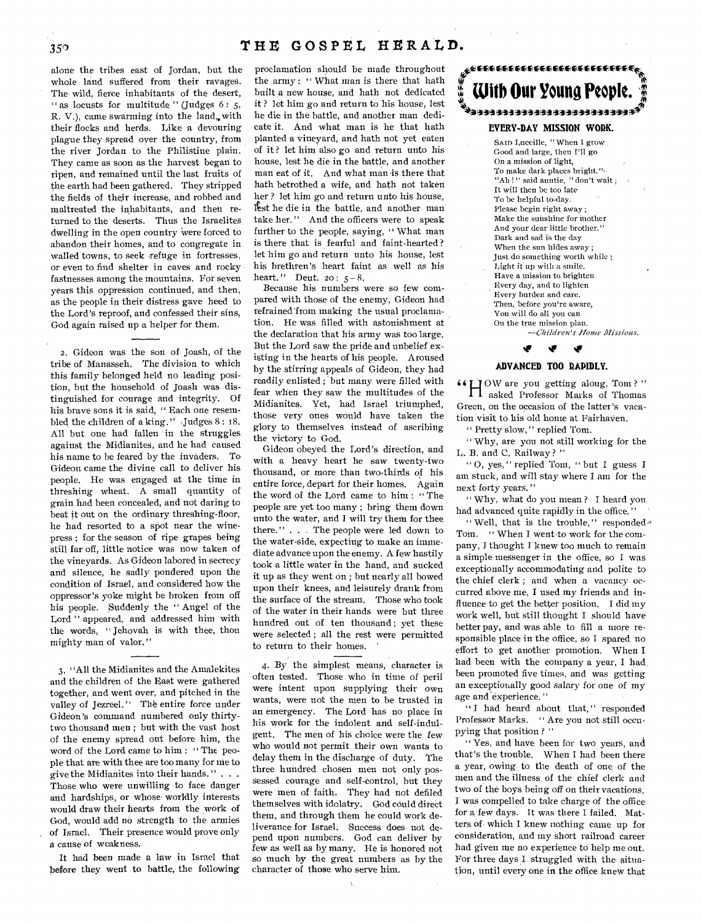alone the tribes east of Jordan, but the whole land suffered from their ravages. The wild, fierce inhabitants of the desert, " as locusts for multitude " *(Judges* 6 : 5, R. V.), came swarming into the land, with their flocks and herds. Like a devouring plague they spread over the country, from the river Jordan to the Philistine plain. They came as soon as the harvest began to ripen, and remained until the last fruits of the earth had been gathered. They stripped the fields of their increase, and robbed and maltreated the inhabitants, and then returned to the deserts. Thus the Israelites dwelling in the open country were forced to abandon their homes, and to congregate in walled towns, to seek refuge in fortresses, or even to find shelter in caves and rocky fastnesses among the mountains. For seven years this oppression continued, and then, as the people in their distress gave heed to the Lord's reproof, and confessed their sins, God again raised up a helper for them.

2. Gideon was the son of Joash, of the tribe of Manasseh. The division to which this family belonged held no leading position, but the household of Joash was distinguished for courage and integrity. Of his brave sons it is said, " Each one resembled the children of a king."  $\text{Judges } 8 : 18$ . All but one had fallen in the struggles against the Midianites, and he had caused his name to be feared by the invaders. To Gideon came the divine call to deliver his people, He was engaged at the time in threshing wheat. A small quantity of grain had been concealed, and not daring to beat it out on the ordinary threshing-floor, he had resorted to a spot near the winepress ; for the season of ripe grapes being still far off, little notice was now taken of the vineyards. As Gideon labored in secrecy and silence, he sadly pondered upon the condition of Israel, and considered how the oppressor's yoke might be broken from off his people. Suddenly the " Angel of the Lord " appeared, and addressed him with the words, " Jehovah is with thee, thou mighty man of valor."

3, "All the Midianites and the Amalekites and the children of the East were gathered together, and went over, and pitched in the valley of Jezreel," The entire force under Gideon's command numbered only thirtytwo thousand men ; but with the vast host of the enemy spread out before him, the word of the Lord came to him : " The people that are with thee are too many for the to give the Midianites into their hands." . . Those who were unwilling -to face danger and hardships, or whose worldly interests would draw their hearts from the work of God, would add no strength to the armies of Israel, Their presence would prove only a cause of weakness.

It had been made a law in Israel that before they went to battle, the following

proclamation should be made throughout the army : " What man is there that hath built a new house, and bath not dedicated it ? let him go and return to his house, lest he die in the battle, and another man dedicate it. And what man is he that hath planted a vineyard, and hath not yet eaten of it ? let him also go and return unto his house, lest he die in the battle, and another man eat of it. And what man is there that hath betrothed a wife, and hath not taken her ? let him go and return unto his house, lest he die in the battle, and another man take her." And the officers were to speak further to the people, saying, " What man is there that is fearful and faint-hearted ? let him go and return unto his house, lest his brethren's heart faint as well as his heart." Deut.  $20: 5-8$ .

Because his numbers were so few compared with those of the enemy, Gideon had refrained 'from making the usual proclamation. He was filled with astonishment at the declaration that his army was too large. But the Lord saw the pride and unbelief existing in the hearts of his people. Aroused by the stirring appeals of Gideon, they had readily enlisted ; but many were filled with fear when they saw the multitudes of the Midianites. Yet, had Israel triumphed, those very ones would have taken the glory to themselves instead of ascribing the victory to God.

Gideon obeyed the Lord's direction, and with a heavy heart he saw twenty-two thousand, or more than two-thirds of his entire force, depart for their homes. Again the word of the Lord came to him : " The people are yet too many ; bring them down unto the water, and I will try them for thee there," . . The people were led down to the water-side, expecting to make an immediate advance upon the enemy. A few hastily took a little water in the hand, and sucked it up as they went on ; but nearly all bowed upon their knees, and leisurely drank from the surface of the stream, Those who took of the water in their hands were but three hundred out of ten thousand; yet these were selected ; all the rest were permitted to return to their homes.

4. By the simplest means, character is often tested. Those who in time of peril were intent upon supplying their own wants, were not the men to be trusted in an emergency. The Lord has no place in his work for the indolent and self-indulgent. The men of his choice were the few who would not permit their own wants to delay them in the discharge of duty. The three hundred chosen men not only possessed courage and self-control, but they were men of faith. They had not defiled themselves with idolatry. God could direct them, and through them he could work deliverance for Israel. Success does not depend upon numbers. God can deliver by few as well as by many. He is honored not so much by the great numbers as by the character of those who serve him.

# <sub>OC</sub>CEEEEEEEEEEEEEEEEEEEEEEEEEE **With Our Young People.**  4lisaaaa3a4aBalaa3aaalaa3aa0

#### **EVERY-DAY MISSION WORK.**

SAID Luceille, "When I grow Good and large, then I'll go On a mission of light, To make dark places bright.". "Ah!" said auntie, "don't wait; It will then be too late To be helpful to-day. Please begin right away ; Make the sunshine for mother And your dear little brother.' Dark and sad is the day When the sun hides away ; Just do something worth while ; Light it up with a smile. Have a mission to brighten Every day, and to lighten Every burden and care. Then, before you're aware, You will do all you can On the true mission plan.

*—Children's Home Missions.*  **SP** 

# tet *%F*  **ADVANCED TOO RAPIDLY.**

**<sup>4</sup>**H OW are you getting along, Tom ? " asked Professor Marks of Thomas Green, on the occasion of the latter's vacation visit to his old home at Fairhaven.

" Pretty slow," replied Tom.

" Why, are you not still working for the L. B. and C. Railway?"

" 0, yes, " replied Toni, " but I *guess* I am stuck, and will stay where I am for the next forty years."

" Why, what do you mean ? I heard you had advanced quite rapidly in the office."

" Well, that is the trouble," responded $\overline{u}$ Tom. " When I went to work for the company, I thought I knew too much to remain a simple messenger in the office, so I was exceptionally accommodating and polite to the chief clerk ; and when a vacancy occurred above me, I used my friends and influenee to get the better position. I did my work well, but still thought I should have better pay, and was able to fill a more responsible place in the office, so I spared no effort to get another promotion. When I had been with the company a year, I had. been promoted five times, and was getting an exceptionally good salary for one of my age and experience."

"I had heard about that," responded Professor Marks. " Are you not still occupying that position ? "

" Yes, and have been for two years, and that's the trouble, When I had been there a year, owing to the death of one of the men and the illness of the chief clerk and two of the boys being off on their vacations, I was compelled to take charge of the office for a few days. It was there I failed. Matters of, which I knew nothing came up for consideration, and my Short railroad career had given me no experience to help me out. For three days l struggled with the situation, until every one in the office knew that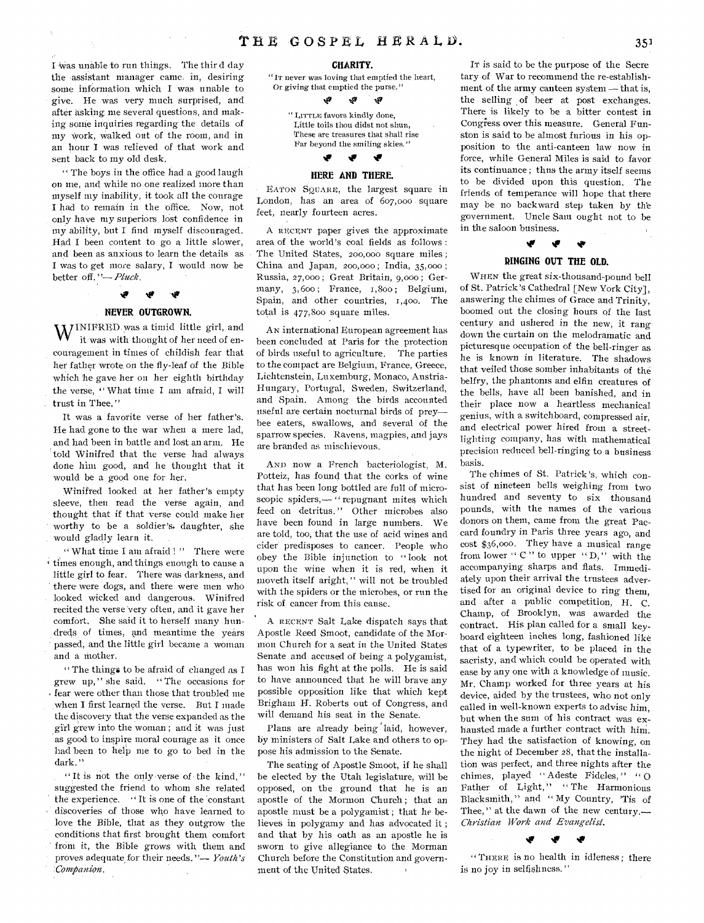I Was unable to run things. The third day the assistant manager came. in, desiring some information which I was unable to give. He was very much surprised, and after asking me several questions, and making some inquiries regarding the details of my Work, Walked out of the room, and in an hour I was relieved of that work and sent back to my old desk.

" The boys in the office had a good laugh on me, and while no one realized more than myself my inability, it took all the courage had to remain in the office. Now, not only have my superiors lost confidence in my ability, but I find myself discouraged. Had I been content to go a little slower, and been as anxious to learn the details as I was to get more salary, I would now be better off. *"—Pinch.* 

# *bly IP*

#### **NEVER OUTGROWN.**

WINIFRED was a timid little girl, and<br>it was with thought of her need of enit was with thought of her need of encouragement in times of childish fear that her father wrote, on the fly-leaf of the Bible which he gave her on her eighth birthday the verse, " What time I am afraid, I will trust in Thee."

It was a favorite verse of her father's. He had gone to the war when a mere lad, and had been in battle and lost an arm. He told Winifred that the verse had always done him good, and he thought that it would be a good one for her.

Winifred looked at her father's empty sleeve, then read the verse again, and thought that if that verse could make her worthy to be a soldier's. daughter, she would gladly learn it.

" What time I am afraid ! " There were times enough, and things enough to cause a little girl to fear, There was darkness, and there were dogs, and there were men who looked wicked and dangerous. Winifred recited the verse 'very often, and it gave her comfort. She said it to herself many hundreds of times, and meantime the years passed, and the little girl became a woman and a mother.

" The things to be afraid of changed as I grew up," she said. "The occasions for fear were other than those that troubled me when I first learned the verse. But I made the discovery that the verse expanded as the girl grew into the woman ; and it was just as good to inspire moral courage as it once had been to help me to go to bed in the dark."

" It is not the only verse of the kind," suggested the friend to whom she related the experience. "It is one of the 'constant discoveries of those who have learned to love the Bible, that as they outgrow the conditions that first brought them comfort from it, the Bible grows with them and proves adequate, for their needs."— *Youth's :Companion.* 

#### **CHARITY.**

"Ir never was loving that emptied the heart, Or giving that emptied the purse."

۰.۶

#### **io**  ক

" LITTLE favors kindly done, Little toils thou didst not shun, These are treasures that shall rise Par beyond the smiling skies."

# *NP*  **HERE AND THERE.**

EATON SQUARE, the largest square in London, has an area of 607,000 square feet, nearly fourteen acres.

A RECENT paper gives the approximate area of the world's coal fields as follows : The United States, 200,000 square miles ; China and Japan,  $200,000$ ; India,  $35,000$ ; Russia, 27,000 ; Great Britain, 9,000 ; Germany, 3, 600 ; France, 1,800 ; Belgium, Spain, and other countries, 1,40o. The total is 477,80o square miles.

AN international European agreement has been concluded at Paris for the protection of birds useful to agriculture. The parties to the compact are Belgium, France, Greece, Lichtenstein, Luxemburg, Monaco, Austria-Hungary, Portugal, Sweden, Switzerland, and Spain. Among the birds accounted useful are certain nocturnal birds of prey bee eaters, swallows, and several of the sparrow species. Ravens, magpies, and jays are branded as mischievous.

AND now a French bacteriologist, M. Potteiz, has found that the corks of wine that has been long bottled are full of microscopic spiders,— " repugnant mites which feed on detritus." Other microbes also have been found in large numbers. We are told, too, that the use of acid wines and cider predisposes to cancer. People who obey the Bible injunction to " look not upon the wine when it is red, when it moveth itself aright, " will not be troubled with the spiders or the microbes, or run the risk of cancer from this cause.

A RECENT Salt Lake dispatch says that Apostle Reed Smoot, candidate of the Mormon Church for a seat in the United States Senate and accused of being a polygamist, has won his fight at the polls. He is said to have announced that he will brave any possible opposition like that which kept Brigham H. Roberts out of Congress, and will demand his seat in the Senate.

Plans are already being 'laid, however, by ministers of Salt Lake and others to oppose his admission to the Senate.

The seating of Apostle Smoot, if he shall be elected by the Utah legislature, will be opposed, on the ground that he is an apostle of the Mormon Church ; that an apostle must be a polygamist ; that he believes in polygamy and has advocated it ; and that by his oath as an apostle he is sworn to give allegiance to the Morman Church before the Constitution and government of the United States.

IT is said to be the purpose of the Secre tary of War to recommend the re-establishment of the army canteen system — that is, the selling of beer at post exchanges. There is likely to be a bitter contest in Congress over this measure. General Funston is said to be almost furious in his opposition to the anti-canteen law now in force, while General Miles is said to favor its continuance ; thus the army itself seems to be divided upon this question. The friends of temperance will hope that there may be no backward step taken by the government. Uncle Sam ought not to be in the saloon business.



## **DINGING OUT THE OLD.**

WHEN the great six-thousand-pound bell of St. Patrick's Cathedral [New York City], answering the chimes of Grace and Trinity, boomed out the closing hours of the last century and ushered in the new, it rang down the curtain on the melodramatic and picturesque occupation of the bell-ringer as he is known in literature. The shadows that veiled those somber inhabitants of the belfry, the phantoms and elfin creatures of the bells, have all been banished, and in their place now a heartless mechanical genius, with a switchboard, compressed air, and electrical power hired from a streetlighting company, has with mathematical precision reduced bell-ringing to a business basis.

The chimes of St. Patrick's, which consist of nineteen bells weighing from two hundred and seventy to six thousand pounds, with the names of the various donors on them, came from the great Paccard foundry in Paris three years ago, and cost \$36,000. They have a musical range from lower " $C$ " to upper " $D,$ " with the accompanying sharps and flats. Immediately upon their arrival the trustees advertised for an original device to ring them, and after a public competition, H. C. Champ, of Brooklyn, was awarded the contract. His plan called for a small keyboard eighteen inches long, fashioned like that of a typewriter, to be placed in the sacristy, and which could be operated with ease by any one with a knowledge of music. Mr. Champ worked for three years at his device, aided by the trustees, who not only called in well-known experts to advise him, but when the sum of his contract was exhausted made a further contract with him. They had the satisfaction of knowing, on the night of December 28, that the installation was perfect, and three nights after the chimes, played " Adeste Fideles," " O Father of Light," " The Harmonious Blacksmith," and " My Country, 'Tis of Thee," at the dawn of the new century.-*Christian Work and Evangelist.* 

*NEr NV 41* 

"THERE is no health in idleness; there is no joy in selfishness. "